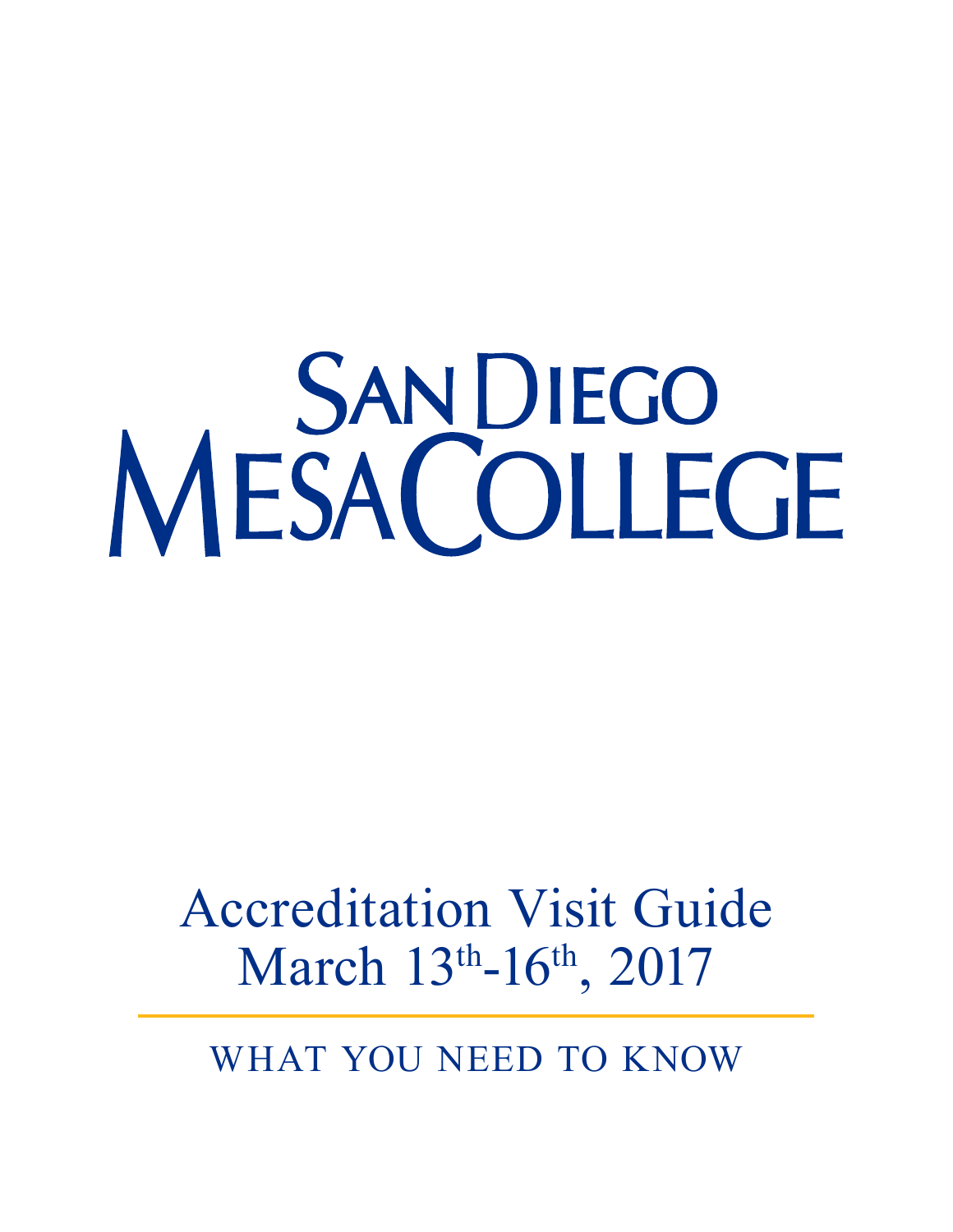# MESACOLLEGE

# Accreditation Visit Guide March 13th-16th, 2017

WHAT YOU NEED TO KNOW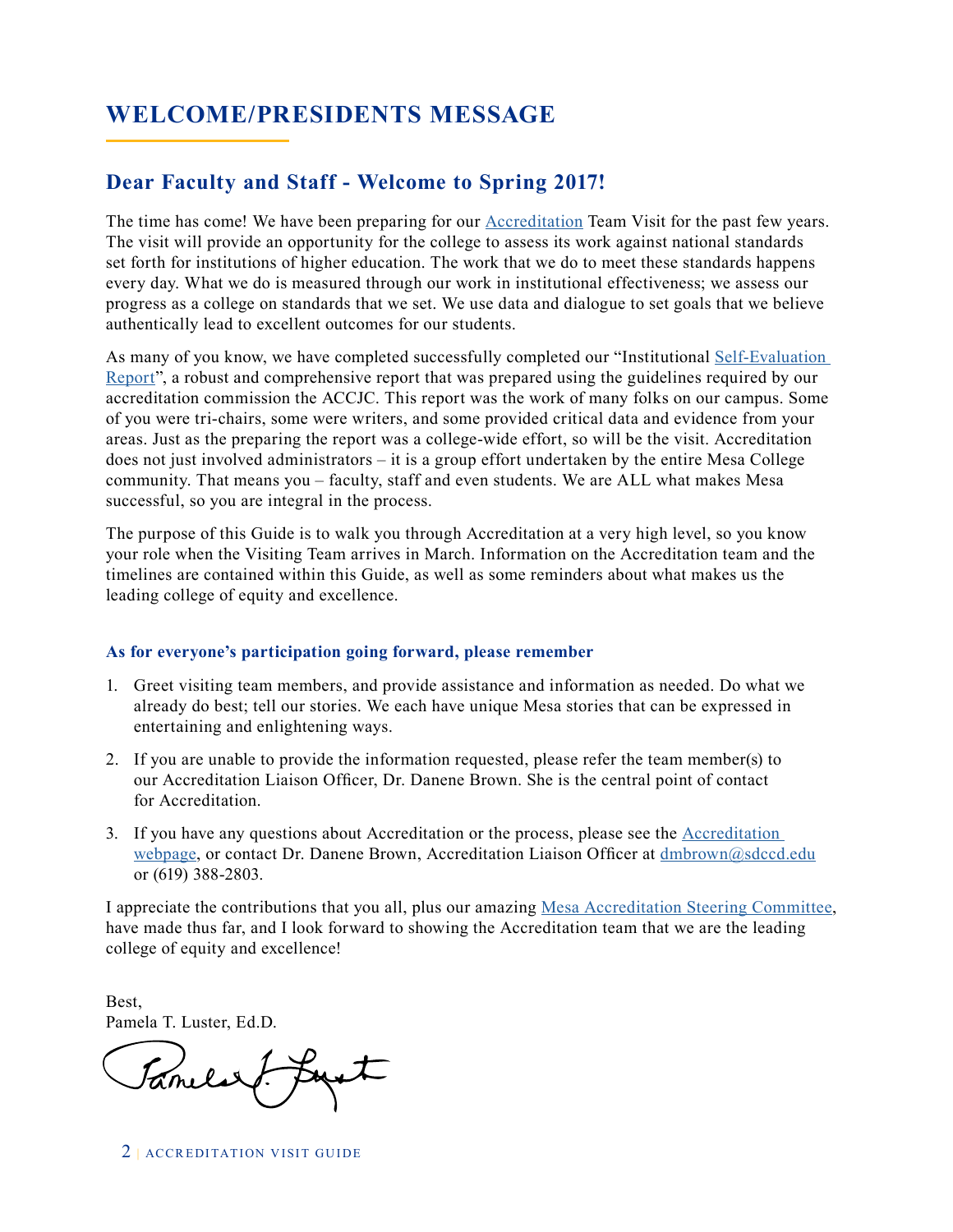### **WELCOME/PRESIDENTS MESSAGE**

### **Dear Faculty and Staff - Welcome to Spring 2017!**

The time has come! We have been preparing for our [Accreditation](http://www.sdmesa.edu/about-mesa/accreditation/) Team Visit for the past few years. The visit will provide an opportunity for the college to assess its work against national standards set forth for institutions of higher education. The work that we do to meet these standards happens every day. What we do is measured through our work in institutional effectiveness; we assess our progress as a college on standards that we set. We use data and dialogue to set goals that we believe authentically lead to excellent outcomes for our students.

As many of you know, we have completed successfully completed our "Institutional [Self-Evaluation](http://www.sdmesa.edu/about-mesa/accreditation/documents/SDMC%20ISER%202017%20ACCRED%20WITH%20APPENDIX.pdf)  [Report"](http://www.sdmesa.edu/about-mesa/accreditation/documents/SDMC%20ISER%202017%20ACCRED%20WITH%20APPENDIX.pdf), a robust and comprehensive report that was prepared using the guidelines required by our accreditation commission the ACCJC. This report was the work of many folks on our campus. Some of you were tri-chairs, some were writers, and some provided critical data and evidence from your areas. Just as the preparing the report was a college-wide effort, so will be the visit. Accreditation does not just involved administrators – it is a group effort undertaken by the entire Mesa College community. That means you – faculty, staff and even students. We are ALL what makes Mesa successful, so you are integral in the process.

The purpose of this Guide is to walk you through Accreditation at a very high level, so you know your role when the Visiting Team arrives in March. Information on the Accreditation team and the timelines are contained within this Guide, as well as some reminders about what makes us the leading college of equity and excellence.

### **As for everyone's participation going forward, please remember**

- 1. Greet visiting team members, and provide assistance and information as needed. Do what we already do best; tell our stories. We each have unique Mesa stories that can be expressed in entertaining and enlightening ways.
- 2. If you are unable to provide the information requested, please refer the team member(s) to our Accreditation Liaison Officer, Dr. Danene Brown. She is the central point of contact for Accreditation.
- 3. If you have any questions about Accreditation or the process, please see the [Accreditation](http://www.sdmesa.edu/about-mesa/accreditation/)  [webpage](http://www.sdmesa.edu/about-mesa/accreditation/), or contact Dr. Danene Brown, Accreditation Liaison Officer at [dmbrown@sdccd.edu](mailto:dmbrown%40sdccd.edu?subject=) or (619) 388-2803.

I appreciate the contributions that you all, plus our amazing [Mesa Accreditation Steering Committee,](http://www.sdmesa.edu/about-mesa/accreditation/accreditation-committee.shtml) have made thus far, and I look forward to showing the Accreditation team that we are the leading college of equity and excellence!

Best, Pamela T. Luster, Ed.D.

Familie & Loyat

2 | ACCREDITATION VISIT GUIDE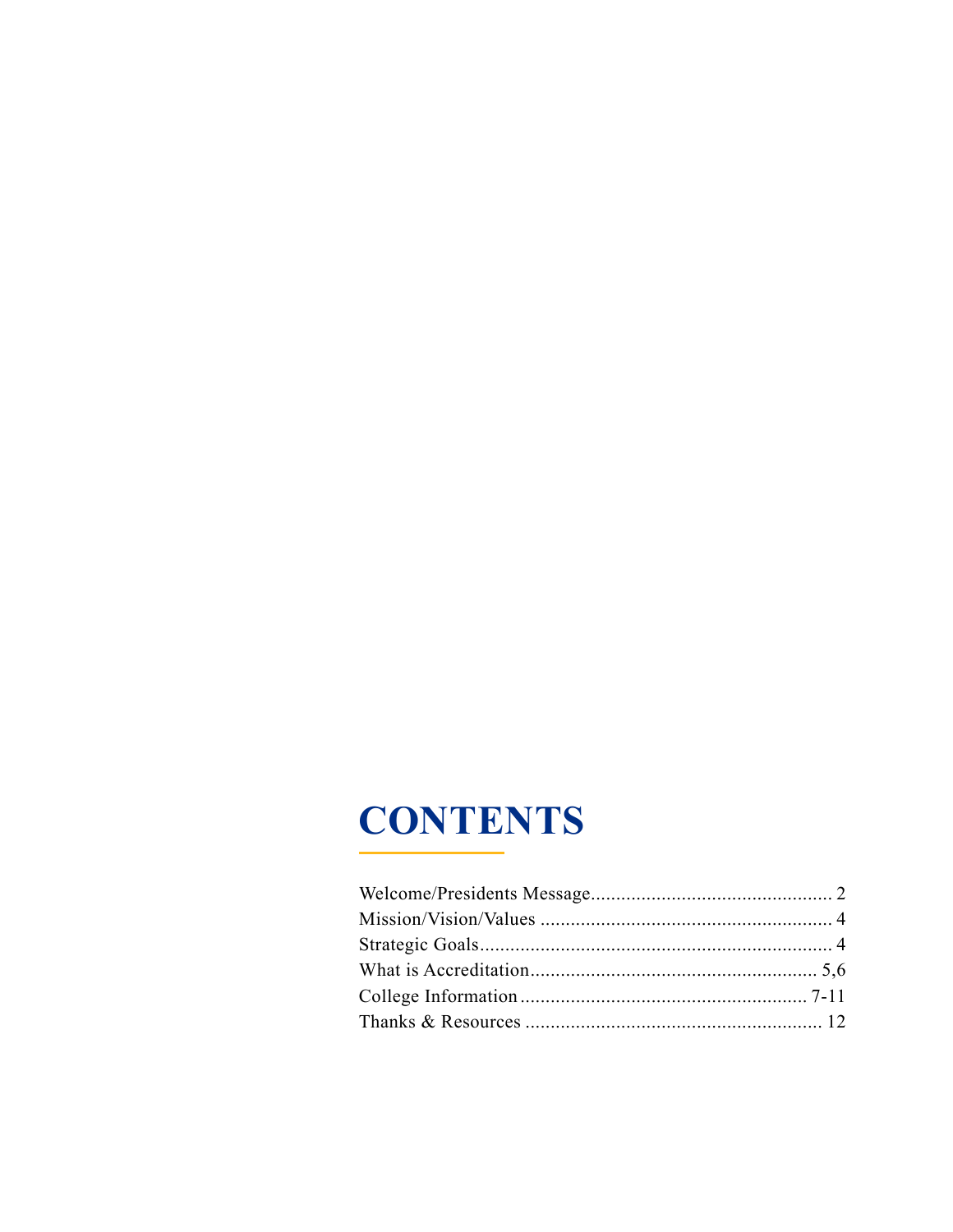# **CONTENTS**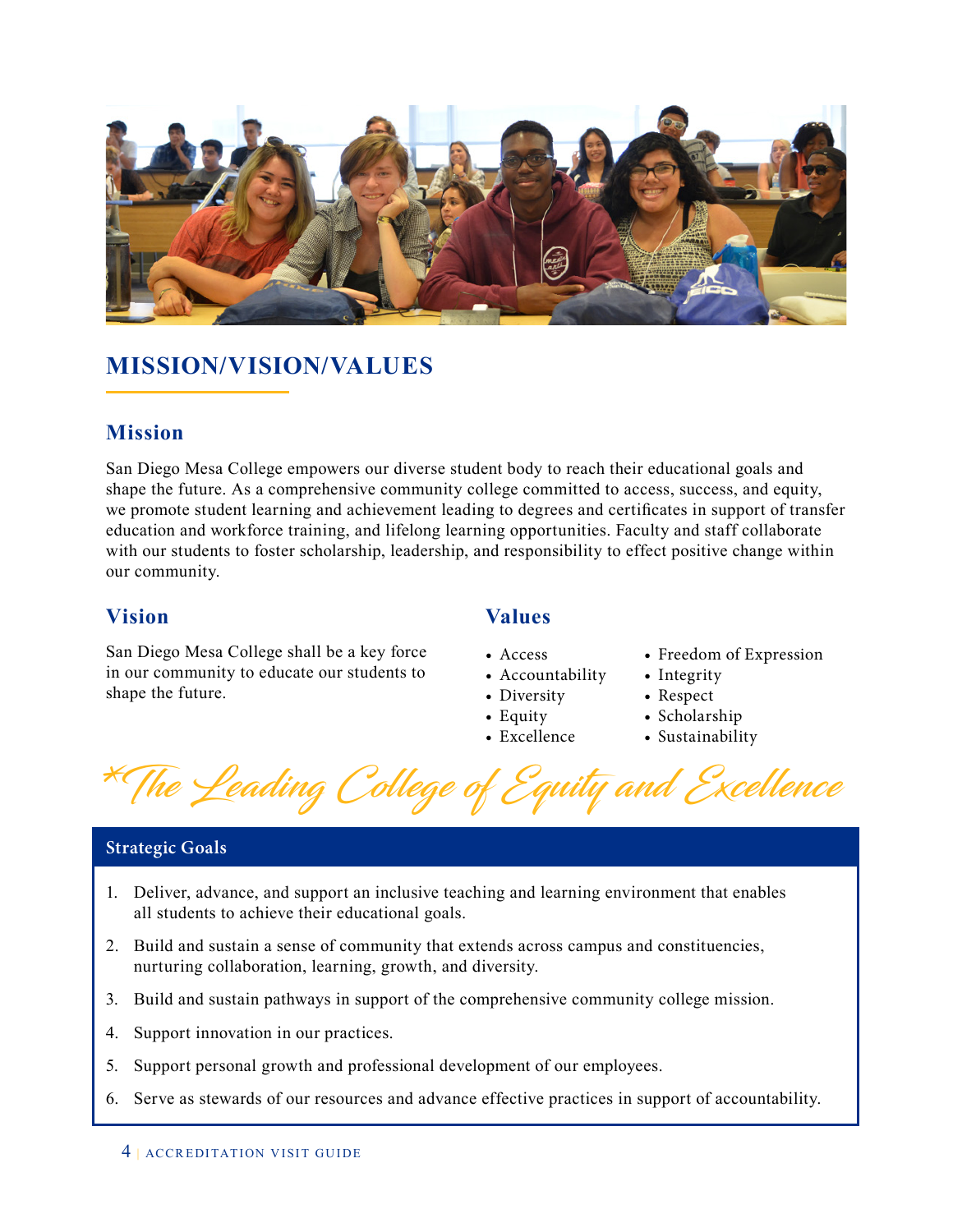

### **MISSION/VISION/VALUES**

### **Mission**

San Diego Mesa College empowers our diverse student body to reach their educational goals and shape the future. As a comprehensive community college committed to access, success, and equity, we promote student learning and achievement leading to degrees and certificates in support of transfer education and workforce training, and lifelong learning opportunities. Faculty and staff collaborate with our students to foster scholarship, leadership, and responsibility to effect positive change within our community.

### **Vision Values**

San Diego Mesa College shall be a key force in our community to educate our students to shape the future.

- Access
- Accountability
- Diversity
- Equity
- Excellence
- Freedom of Expression
- Integrity
- Respect
- Scholarship
- Sustainability

\*The Leading College of Equity and Excellence

### **Strategic Goals**

- 1. Deliver, advance, and support an inclusive teaching and learning environment that enables all students to achieve their educational goals.
- 2. Build and sustain a sense of community that extends across campus and constituencies, nurturing collaboration, learning, growth, and diversity.
- 3. Build and sustain pathways in support of the comprehensive community college mission.
- 4. Support innovation in our practices.
- 5. Support personal growth and professional development of our employees.
- 6. Serve as stewards of our resources and advance effective practices in support of accountability.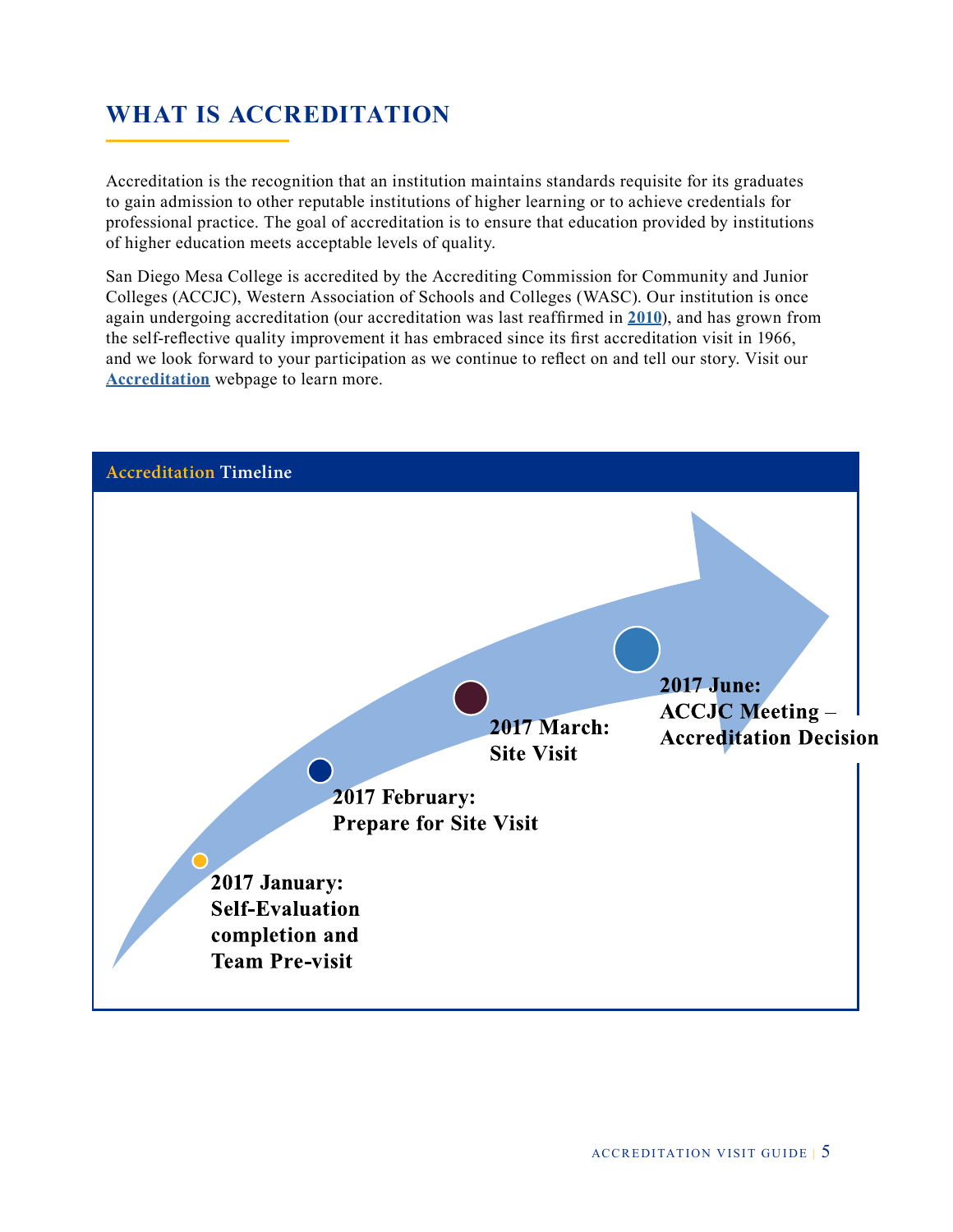### **WHAT IS ACCREDITATION**

Accreditation is the recognition that an institution maintains standards requisite for its graduates to gain admission to other reputable institutions of higher learning or to achieve credentials for professional practice. The goal of accreditation is to ensure that education provided by institutions of higher education meets acceptable levels of quality.

San Diego Mesa College is accredited by the Accrediting Commission for Community and Junior Colleges (ACCJC), Western Association of Schools and Colleges (WASC). Our institution is once again undergoing accreditation (our accreditation was last reaffirmed in **[2010](http://www.sdmesa.edu/about-mesa/accreditation/accreditation-reports/documents/10Self-Study.pdf)**), and has grown from the self-reflective quality improvement it has embraced since its first accreditation visit in 1966, and we look forward to your participation as we continue to reflect on and tell our story. Visit our **[Accreditation](http://www.sdmesa.edu/about-mesa/accreditation/index.shtml/)** webpage to learn more.

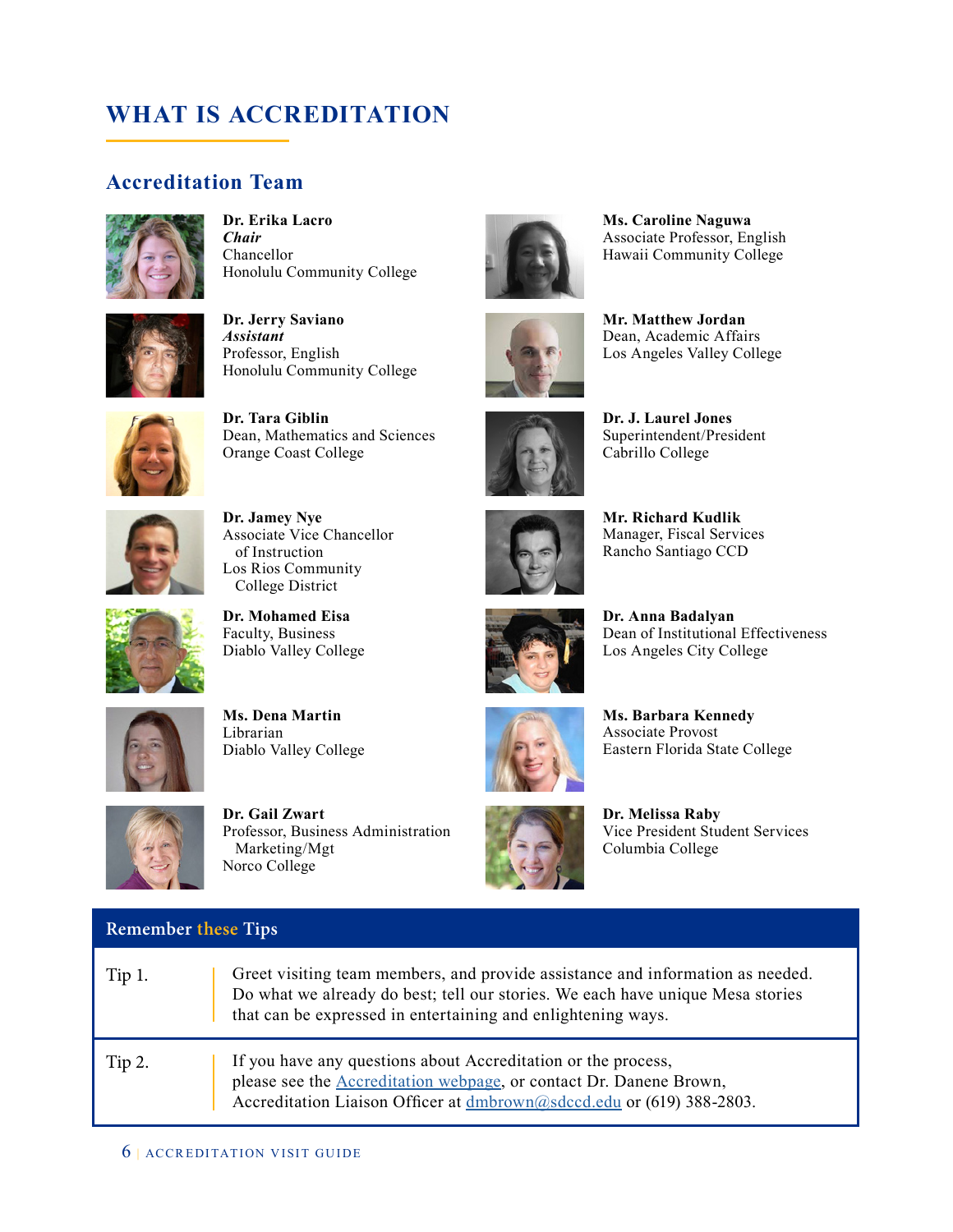### **WHAT IS ACCREDITATION**

### **Accreditation Team**



**Dr. Erika Lacro** *Chair* Chancellor Honolulu Community College



**Dr. Jerry Saviano** *Assistant* Professor, English Honolulu Community College



**Dr. Tara Giblin** Dean, Mathematics and Sciences Orange Coast College



**Dr. Jamey Nye** Associate Vice Chancellor of Instruction Los Rios Community College District



Faculty, Business Diablo Valley College

**Dr. Mohamed Eisa**



**Ms. Dena Martin** Librarian Diablo Valley College



**Remember these Tips**

**Dr. Gail Zwart** Professor, Business Administration Marketing/Mgt Norco College



**Ms. Caroline Naguwa** Associate Professor, English Hawaii Community College





**Dr. J. Laurel Jones** Superintendent/President Cabrillo College

**Mr. Matthew Jordan** Dean, Academic Affairs Los Angeles Valley College



**Mr. Richard Kudlik** Manager, Fiscal Services Rancho Santiago CCD



**Dr. Anna Badalyan** Dean of Institutional Effectiveness Los Angeles City College



**Ms. Barbara Kennedy** Associate Provost Eastern Florida State College



**Dr. Melissa Raby** Vice President Student Services Columbia College

| Tip 1. | Greet visiting team members, and provide assistance and information as needed.<br>Do what we already do best; tell our stories. We each have unique Mesa stories<br>that can be expressed in entertaining and enlightening ways. |
|--------|----------------------------------------------------------------------------------------------------------------------------------------------------------------------------------------------------------------------------------|
| Tip 2. | If you have any questions about Accreditation or the process,<br>please see the <b>Accreditation</b> webpage, or contact Dr. Danene Brown,<br>Accreditation Liaison Officer at dmbrown@sdccd.edu or (619) 388-2803.              |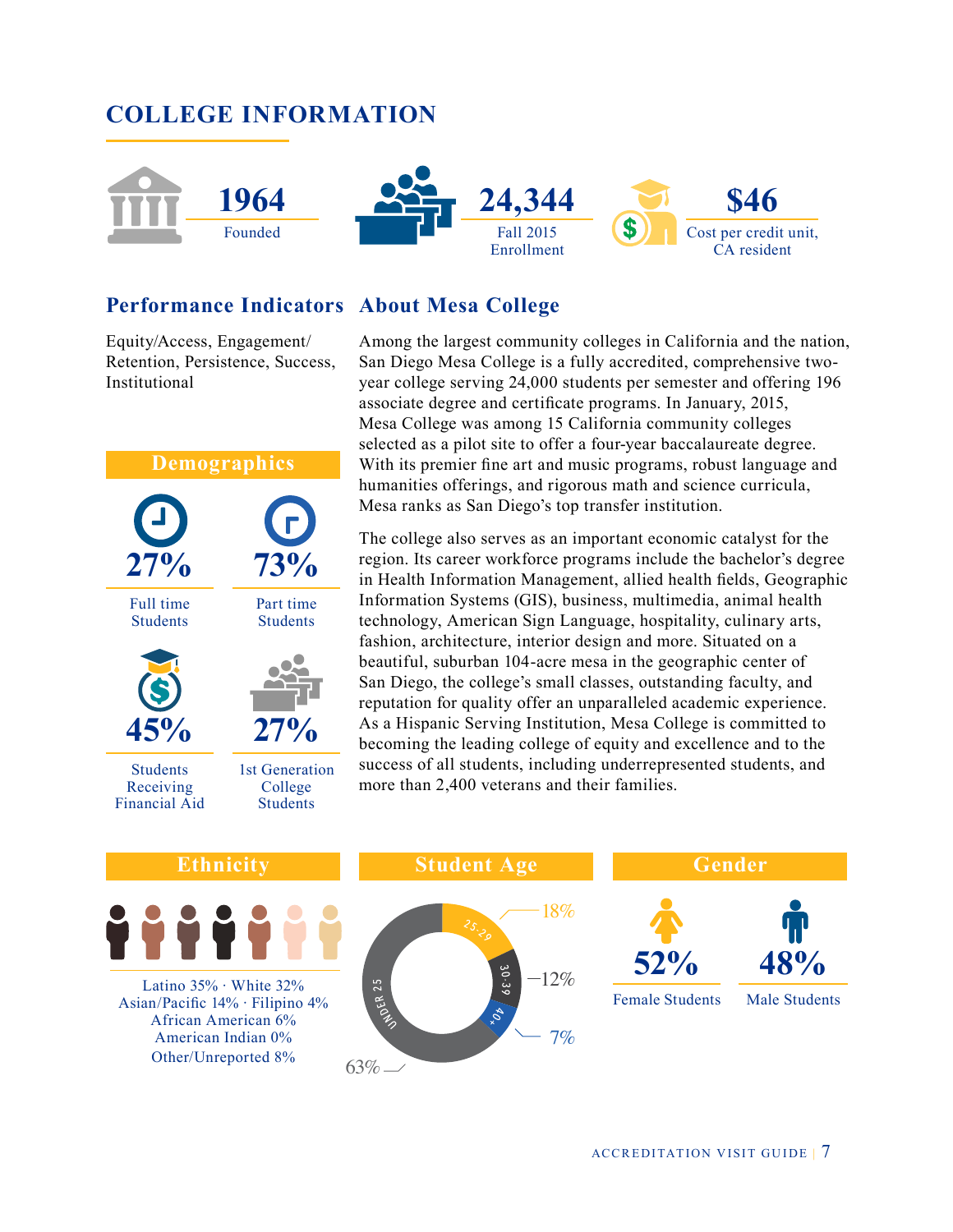

### **Performance Indicators About Mesa College**

Equity/Access, Engagement/ Retention, Persistence, Success, Institutional

### **Demographics** Full time **Students** Part time **Students** Students Receiving Financial Aid 1st Generation College **Students 27% 73% 45% 27%**

Among the largest community colleges in California and the nation, San Diego Mesa College is a fully accredited, comprehensive twoyear college serving 24,000 students per semester and offering 196 associate degree and certificate programs. In January, 2015, Mesa College was among 15 California community colleges selected as a pilot site to offer a four-year baccalaureate degree. With its premier fine art and music programs, robust language and humanities offerings, and rigorous math and science curricula, Mesa ranks as San Diego's top transfer institution.

The college also serves as an important economic catalyst for the region. Its career workforce programs include the bachelor's degree in Health Information Management, allied health fields, Geographic Information Systems (GIS), business, multimedia, animal health technology, American Sign Language, hospitality, culinary arts, fashion, architecture, interior design and more. Situated on a beautiful, suburban 104-acre mesa in the geographic center of San Diego, the college's small classes, outstanding faculty, and reputation for quality offer an unparalleled academic experience. As a Hispanic Serving Institution, Mesa College is committed to becoming the leading college of equity and excellence and to the success of all students, including underrepresented students, and more than 2,400 veterans and their families.



ACCREDITATION VISIT GUIDE <sup>|</sup> 7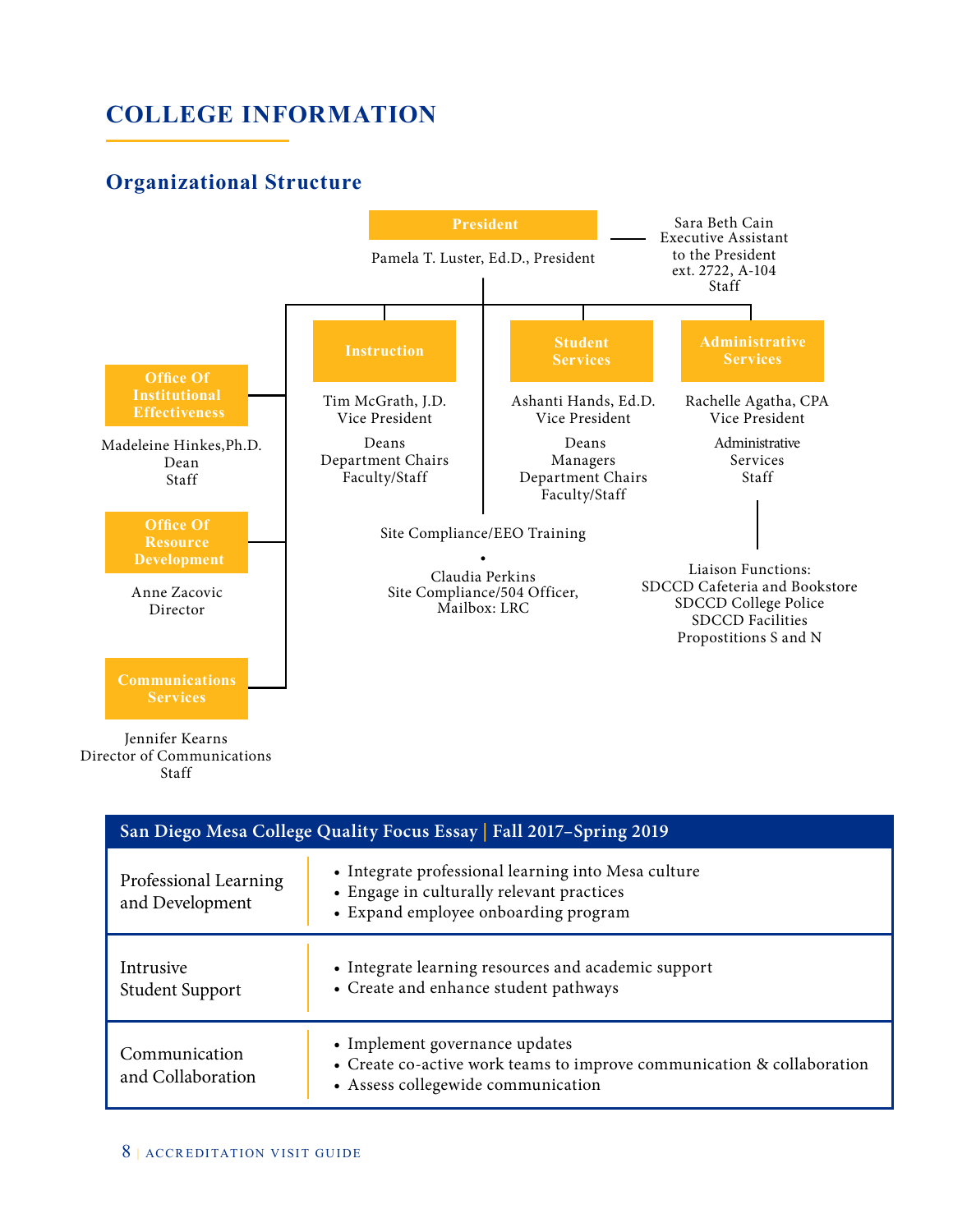### **Organizational Structure**



Staff

| San Diego Mesa College Quality Focus Essay   Fall 2017-Spring 2019 |                                                                                                                                                |  |
|--------------------------------------------------------------------|------------------------------------------------------------------------------------------------------------------------------------------------|--|
| Professional Learning<br>and Development                           | • Integrate professional learning into Mesa culture<br>• Engage in culturally relevant practices<br>• Expand employee onboarding program       |  |
| Intrusive<br><b>Student Support</b>                                | • Integrate learning resources and academic support<br>• Create and enhance student pathways                                                   |  |
| Communication<br>and Collaboration                                 | • Implement governance updates<br>• Create co-active work teams to improve communication & collaboration<br>• Assess collegewide communication |  |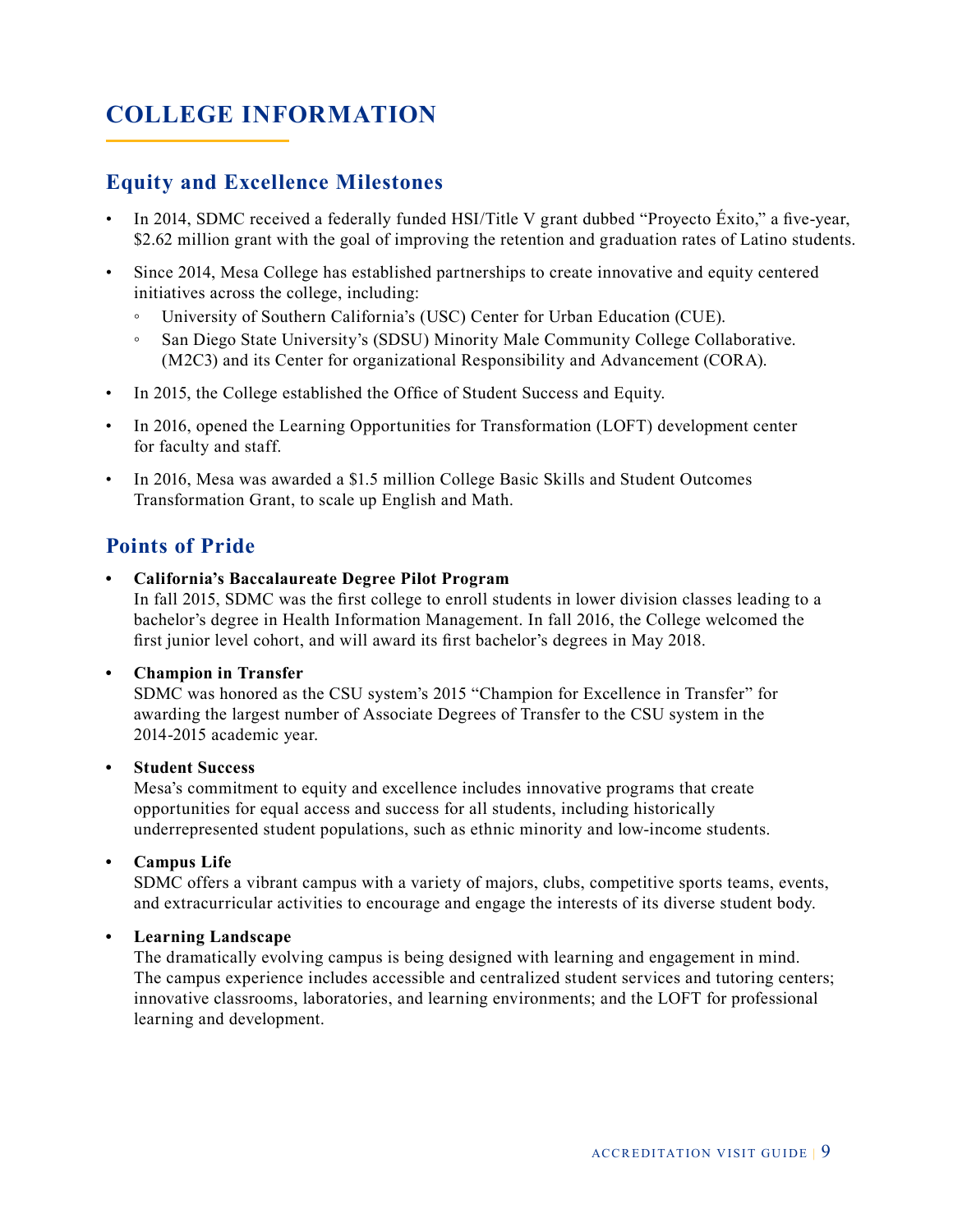### **Equity and Excellence Milestones**

- In 2014, SDMC received a federally funded HSI/Title V grant dubbed "Proyecto Éxito," a five-year, \$2.62 million grant with the goal of improving the retention and graduation rates of Latino students.
- Since 2014, Mesa College has established partnerships to create innovative and equity centered initiatives across the college, including:
	- University of Southern California's (USC) Center for Urban Education (CUE).
	- San Diego State University's (SDSU) Minority Male Community College Collaborative. (M2C3) and its Center for organizational Responsibility and Advancement (CORA).
- In 2015, the College established the Office of Student Success and Equity.
- In 2016, opened the Learning Opportunities for Transformation (LOFT) development center for faculty and staff.
- In 2016, Mesa was awarded a \$1.5 million College Basic Skills and Student Outcomes Transformation Grant, to scale up English and Math.

### **Points of Pride**

**• California's Baccalaureate Degree Pilot Program**

In fall 2015, SDMC was the first college to enroll students in lower division classes leading to a bachelor's degree in Health Information Management. In fall 2016, the College welcomed the first junior level cohort, and will award its first bachelor's degrees in May 2018.

### **• Champion in Transfer**

SDMC was honored as the CSU system's 2015 "Champion for Excellence in Transfer" for awarding the largest number of Associate Degrees of Transfer to the CSU system in the 2014-2015 academic year.

### **• Student Success**

Mesa's commitment to equity and excellence includes innovative programs that create opportunities for equal access and success for all students, including historically underrepresented student populations, such as ethnic minority and low-income students.

**• Campus Life**

SDMC offers a vibrant campus with a variety of majors, clubs, competitive sports teams, events, and extracurricular activities to encourage and engage the interests of its diverse student body.

### **• Learning Landscape**

The dramatically evolving campus is being designed with learning and engagement in mind. The campus experience includes accessible and centralized student services and tutoring centers; innovative classrooms, laboratories, and learning environments; and the LOFT for professional learning and development.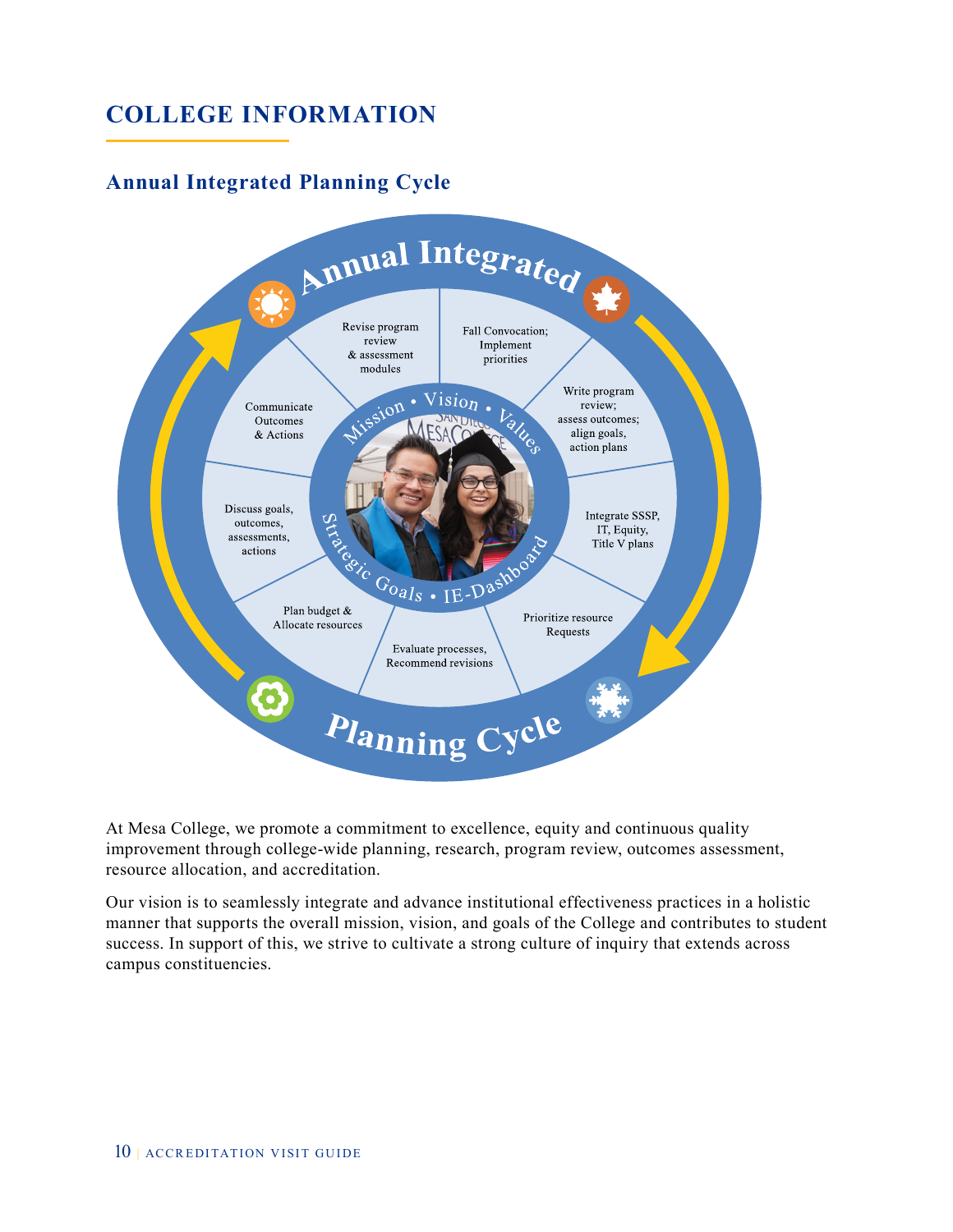### **Annual Integrated Planning Cycle**



At Mesa College, we promote a commitment to excellence, equity and continuous quality improvement through college-wide planning, research, program review, outcomes assessment, resource allocation, and accreditation.

Our vision is to seamlessly integrate and advance institutional effectiveness practices in a holistic manner that supports the overall mission, vision, and goals of the College and contributes to student success. In support of this, we strive to cultivate a strong culture of inquiry that extends across campus constituencies.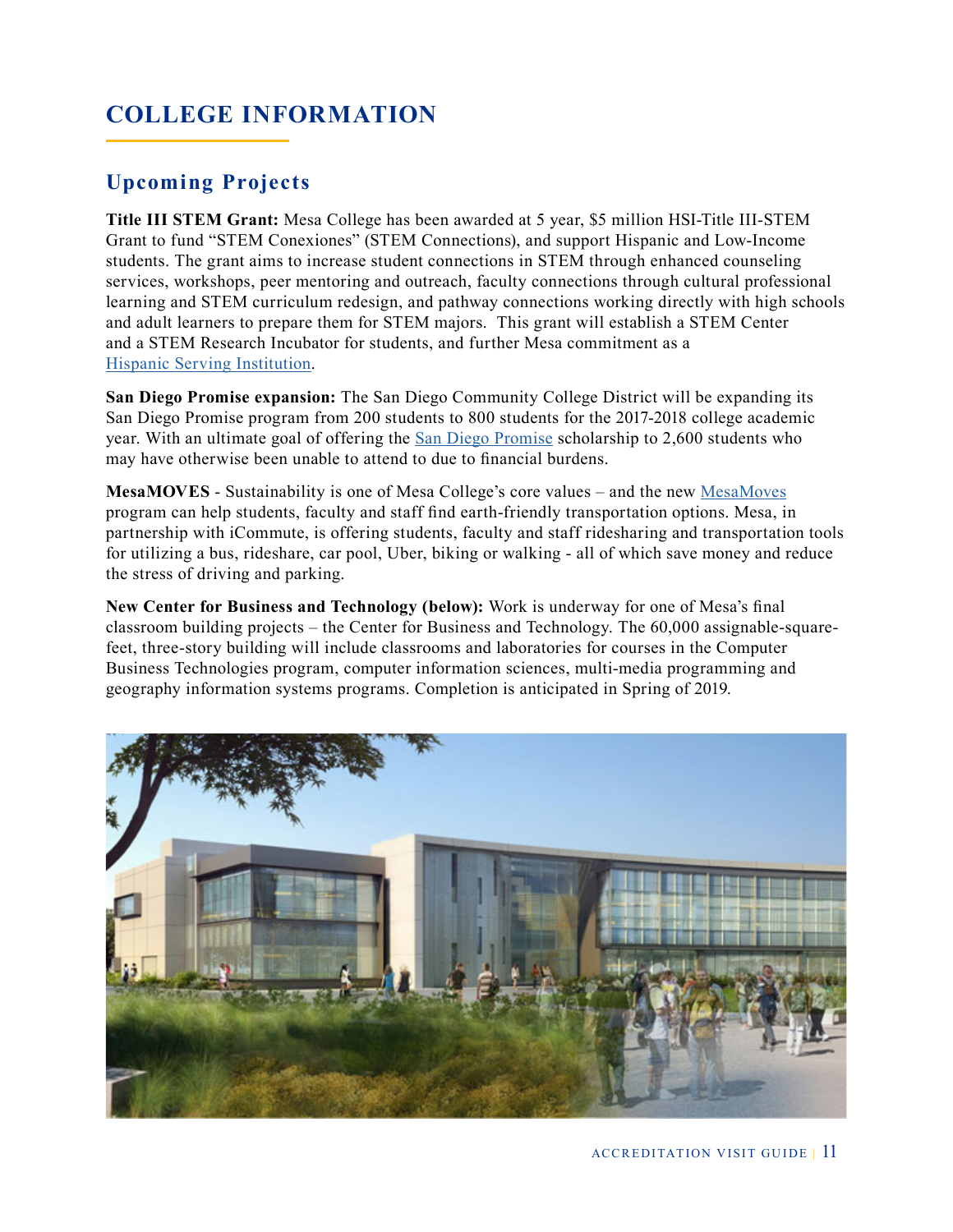### **Upcoming Projects**

**Title III STEM Grant:** Mesa College has been awarded at 5 year, \$5 million HSI-Title III-STEM Grant to fund "STEM Conexiones" (STEM Connections), and support Hispanic and Low-Income students. The grant aims to increase student connections in STEM through enhanced counseling services, workshops, peer mentoring and outreach, faculty connections through cultural professional learning and STEM curriculum redesign, and pathway connections working directly with high schools and adult learners to prepare them for STEM majors. This grant will establish a STEM Center and a STEM Research Incubator for students, and further Mesa commitment as a [Hispanic Serving Institution.](http://www.sdmesa.edu/about-mesa/current-initiatives/hispanic-serving-institutions/)

**San Diego Promise expansion:** The San Diego Community College District will be expanding its San Diego Promise program from 200 students to 800 students for the 2017-2018 college academic year. With an ultimate goal of offering the [San Diego Promise](http://www.sdccd.edu/promise/) scholarship to 2,600 students who may have otherwise been unable to attend to due to financial burdens.

**MesaMOVES** - Sustainability is one of Mesa College's core values – and the new [MesaMoves](http://www.sdmesa.edu/mesamoves/) program can help students, faculty and staff find earth-friendly transportation options. Mesa, in partnership with iCommute, is offering students, faculty and staff ridesharing and transportation tools for utilizing a bus, rideshare, car pool, Uber, biking or walking - all of which save money and reduce the stress of driving and parking.

**New Center for Business and Technology (below):** Work is underway for one of Mesa's final classroom building projects – the Center for Business and Technology. The 60,000 assignable-squarefeet, three-story building will include classrooms and laboratories for courses in the Computer Business Technologies program, computer information sciences, multi-media programming and geography information systems programs. Completion is anticipated in Spring of 2019.